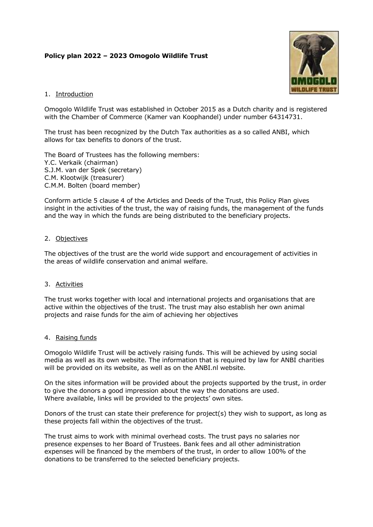# Policy plan 2022 – 2023 Omogolo Wildlife Trust



### 1. Introduction

Omogolo Wildlife Trust was established in October 2015 as a Dutch charity and is registered with the Chamber of Commerce (Kamer van Koophandel) under number 64314731.

The trust has been recognized by the Dutch Tax authorities as a so called ANBI, which allows for tax benefits to donors of the trust.

The Board of Trustees has the following members: Y.C. Verkaik (chairman) S.J.M. van der Spek (secretary) C.M. Klootwijk (treasurer) C.M.M. Bolten (board member)

Conform article 5 clause 4 of the Articles and Deeds of the Trust, this Policy Plan gives insight in the activities of the trust, the way of raising funds, the management of the funds and the way in which the funds are being distributed to the beneficiary projects.

## 2. Objectives

The objectives of the trust are the world wide support and encouragement of activities in the areas of wildlife conservation and animal welfare.

#### 3. Activities

The trust works together with local and international projects and organisations that are active within the objectives of the trust. The trust may also establish her own animal projects and raise funds for the aim of achieving her objectives

#### 4. Raising funds

Omogolo Wildlife Trust will be actively raising funds. This will be achieved by using social media as well as its own website. The information that is required by law for ANBI charities will be provided on its website, as well as on the ANBI.nl website.

On the sites information will be provided about the projects supported by the trust, in order to give the donors a good impression about the way the donations are used. Where available, links will be provided to the projects' own sites.

Donors of the trust can state their preference for project(s) they wish to support, as long as these projects fall within the objectives of the trust.

The trust aims to work with minimal overhead costs. The trust pays no salaries nor presence expenses to her Board of Trustees. Bank fees and all other administration expenses will be financed by the members of the trust, in order to allow 100% of the donations to be transferred to the selected beneficiary projects.